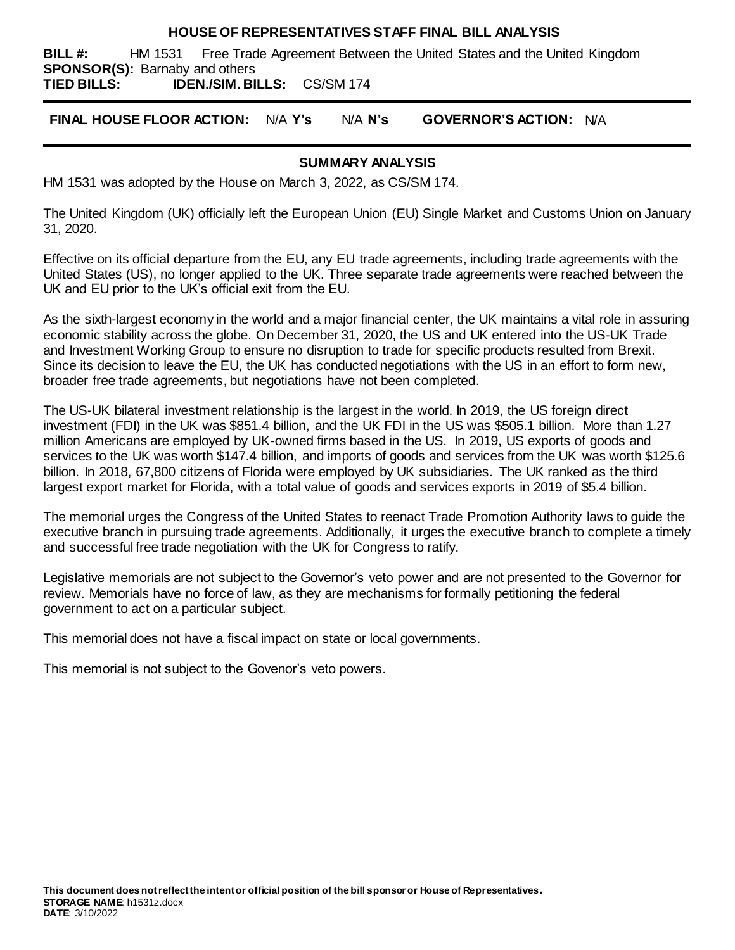#### **HOUSE OF REPRESENTATIVES STAFF FINAL BILL ANALYSIS**

**BILL #:** HM 1531 Free Trade Agreement Between the United States and the United Kingdom **SPONSOR(S):** Barnaby and others

**TIED BILLS: IDEN./SIM. BILLS:** CS/SM 174

**FINAL HOUSE FLOOR ACTION:** N/A **Y's** N/A **N's GOVERNOR'S ACTION:** N/A

### **SUMMARY ANALYSIS**

HM 1531 was adopted by the House on March 3, 2022, as CS/SM 174.

The United Kingdom (UK) officially left the European Union (EU) Single Market and Customs Union on January 31, 2020.

Effective on its official departure from the EU, any EU trade agreements, including trade agreements with the United States (US), no longer applied to the UK. Three separate trade agreements were reached between the UK and EU prior to the UK's official exit from the EU.

As the sixth-largest economy in the world and a major financial center, the UK maintains a vital role in assuring economic stability across the globe. On December 31, 2020, the US and UK entered into the US-UK Trade and Investment Working Group to ensure no disruption to trade for specific products resulted from Brexit. Since its decision to leave the EU, the UK has conducted negotiations with the US in an effort to form new, broader free trade agreements, but negotiations have not been completed.

The US-UK bilateral investment relationship is the largest in the world. In 2019, the US foreign direct investment (FDI) in the UK was \$851.4 billion, and the UK FDI in the US was \$505.1 billion. More than 1.27 million Americans are employed by UK-owned firms based in the US. In 2019, US exports of goods and services to the UK was worth \$147.4 billion, and imports of goods and services from the UK was worth \$125.6 billion. In 2018, 67,800 citizens of Florida were employed by UK subsidiaries. The UK ranked as the third largest export market for Florida, with a total value of goods and services exports in 2019 of \$5.4 billion.

The memorial urges the Congress of the United States to reenact Trade Promotion Authority laws to guide the executive branch in pursuing trade agreements. Additionally, it urges the executive branch to complete a timely and successful free trade negotiation with the UK for Congress to ratify.

Legislative memorials are not subject to the Governor's veto power and are not presented to the Governor for review. Memorials have no force of law, as they are mechanisms for formally petitioning the federal government to act on a particular subject.

This memorial does not have a fiscal impact on state or local governments.

This memorial is not subject to the Govenor's veto powers.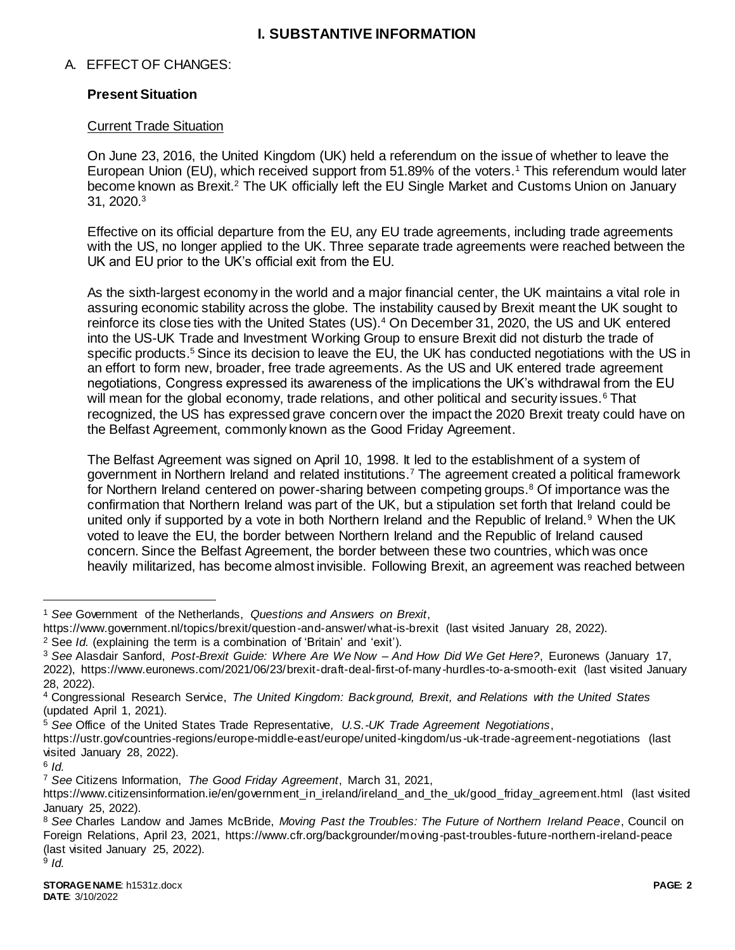# **I. SUBSTANTIVE INFORMATION**

# A. EFFECT OF CHANGES:

# **Present Situation**

# Current Trade Situation

On June 23, 2016, the United Kingdom (UK) held a referendum on the issue of whether to leave the European Union (EU), which received support from 51.89% of the voters.<sup>1</sup> This referendum would later become known as Brexit.<sup>2</sup> The UK officially left the EU Single Market and Customs Union on January 31, 2020.<sup>3</sup>

Effective on its official departure from the EU, any EU trade agreements, including trade agreements with the US, no longer applied to the UK. Three separate trade agreements were reached between the UK and EU prior to the UK's official exit from the EU.

As the sixth-largest economy in the world and a major financial center, the UK maintains a vital role in assuring economic stability across the globe. The instability caused by Brexit meant the UK sought to reinforce its close ties with the United States (US).<sup>4</sup> On December 31, 2020, the US and UK entered into the US-UK Trade and Investment Working Group to ensure Brexit did not disturb the trade of specific products.<sup>5</sup> Since its decision to leave the EU, the UK has conducted negotiations with the US in an effort to form new, broader, free trade agreements. As the US and UK entered trade agreement negotiations, Congress expressed its awareness of the implications the UK's withdrawal from the EU will mean for the global economy, trade relations, and other political and security issues.<sup>6</sup> That recognized, the US has expressed grave concern over the impact the 2020 Brexit treaty could have on the Belfast Agreement, commonly known as the Good Friday Agreement.

The Belfast Agreement was signed on April 10, 1998. It led to the establishment of a system of government in Northern Ireland and related institutions.<sup>7</sup> The agreement created a political framework for Northern Ireland centered on power-sharing between competing groups.<sup>8</sup> Of importance was the confirmation that Northern Ireland was part of the UK, but a stipulation set forth that Ireland could be united only if supported by a vote in both Northern Ireland and the Republic of Ireland.<sup>9</sup> When the UK voted to leave the EU, the border between Northern Ireland and the Republic of Ireland caused concern. Since the Belfast Agreement, the border between these two countries, which was once heavily militarized, has become almost invisible. Following Brexit, an agreement was reached between

 $\overline{a}$ 

<sup>1</sup> *See* Government of the Netherlands, *Questions and Answers on Brexit*,

https://www.government.nl/topics/brexit/question-and-answer/what-is-brexit (last visited January 28, 2022).

<sup>2</sup> See *Id.* (explaining the term is a combination of 'Britain' and 'exit').

<sup>3</sup> *See* Alasdair Sanford, *Post-Brexit Guide: Where Are We Now – And How Did We Get Here?*, Euronews (January 17, 2022), https://www.euronews.com/2021/06/23/brexit-draft-deal-first-of-many-hurdles-to-a-smooth-exit (last visited January 28, 2022).

<sup>4</sup> Congressional Research Service, *The United Kingdom: Background, Brexit, and Relations with the United States* (updated April 1, 2021).

<sup>5</sup> *See* Office of the United States Trade Representative, *U.S.-UK Trade Agreement Negotiations*,

https://ustr.gov/countries-regions/europe-middle-east/europe/united-kingdom/us -uk-trade-agreement-negotiations (last visited January 28, 2022).

<sup>6</sup> *Id.*

<sup>7</sup> *See* Citizens Information, *The Good Friday Agreement*, March 31, 2021,

https://www.citizensinformation.ie/en/government\_in\_ireland/ireland\_and\_the\_uk/good\_friday\_agreement.html (last visited January 25, 2022).

<sup>8</sup> *See* Charles Landow and James McBride, *Moving Past the Troubles: The Future of Northern Ireland Peace*, Council on Foreign Relations, April 23, 2021, https://www.cfr.org/backgrounder/moving-past-troubles-future-northern-ireland-peace (last visited January 25, 2022). 9 *Id.*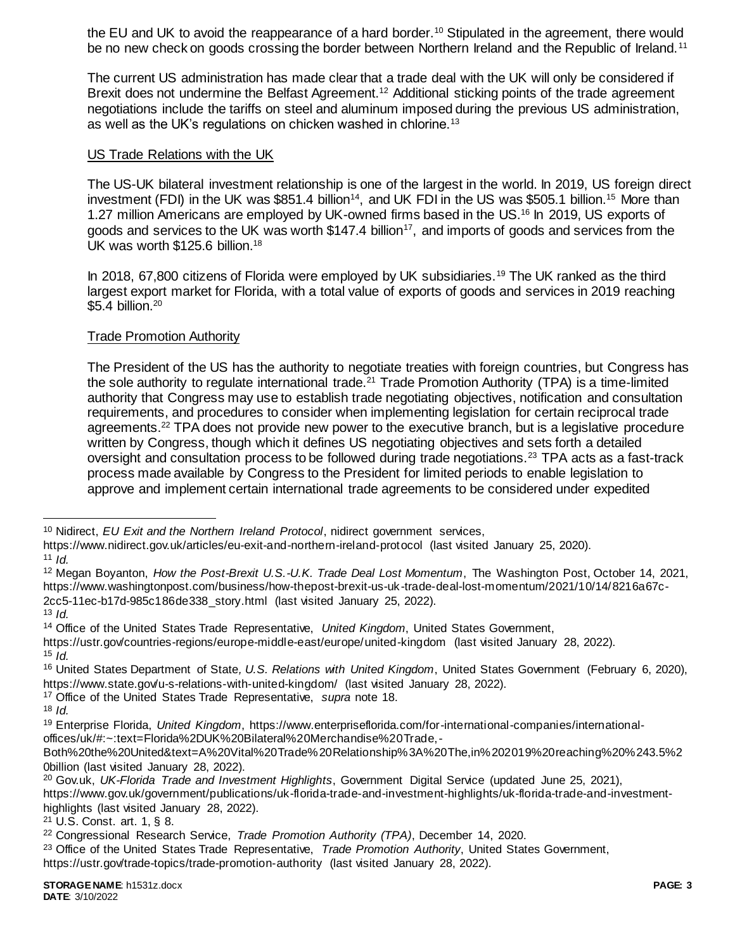the EU and UK to avoid the reappearance of a hard border.<sup>10</sup> Stipulated in the agreement, there would be no new check on goods crossing the border between Northern Ireland and the Republic of Ireland.<sup>11</sup>

The current US administration has made clear that a trade deal with the UK will only be considered if Brexit does not undermine the Belfast Agreement.<sup>12</sup> Additional sticking points of the trade agreement negotiations include the tariffs on steel and aluminum imposed during the previous US administration, as well as the UK's regulations on chicken washed in chlorine.<sup>13</sup>

### US Trade Relations with the UK

The US-UK bilateral investment relationship is one of the largest in the world. In 2019, US foreign direct investment (FDI) in the UK was \$851.4 billion<sup>14</sup>, and UK FDI in the US was \$505.1 billion.<sup>15</sup> More than 1.27 million Americans are employed by UK-owned firms based in the US.<sup>16</sup> In 2019, US exports of goods and services to the UK was worth  $$147.4$  billion<sup>17</sup>, and imports of goods and services from the UK was worth \$125.6 billion.<sup>18</sup>

In 2018, 67,800 citizens of Florida were employed by UK subsidiaries.<sup>19</sup> The UK ranked as the third largest export market for Florida, with a total value of exports of goods and services in 2019 reaching \$5.4 billion.<sup>20</sup>

# Trade Promotion Authority

The President of the US has the authority to negotiate treaties with foreign countries, but Congress has the sole authority to regulate international trade.<sup>21</sup> Trade Promotion Authority (TPA) is a time-limited authority that Congress may use to establish trade negotiating objectives, notification and consultation requirements, and procedures to consider when implementing legislation for certain reciprocal trade agreements.<sup>22</sup> TPA does not provide new power to the executive branch, but is a legislative procedure written by Congress, though which it defines US negotiating objectives and sets forth a detailed oversight and consultation process to be followed during trade negotiations.<sup>23</sup> TPA acts as a fast-track process made available by Congress to the President for limited periods to enable legislation to approve and implement certain international trade agreements to be considered under expedited

 $\overline{a}$ 

<sup>13</sup> *Id.*

<sup>17</sup> Office of the United States Trade Representative, *supra* note 18.

<sup>10</sup> Nidirect, *EU Exit and the Northern Ireland Protocol*, nidirect government services,

https://www.nidirect.gov.uk/articles/eu-exit-and-northern-ireland-protocol (last visited January 25, 2020).

<sup>11</sup> *Id.*

<sup>12</sup> Megan Boyanton, *How the Post-Brexit U.S.-U.K. Trade Deal Lost Momentum*, The Washington Post, October 14, 2021, https://www.washingtonpost.com/business/how-thepost-brexit-us-uk-trade-deal-lost-momentum/2021/10/14/8216a67c-2cc5-11ec-b17d-985c186de338\_story.html (last visited January 25, 2022).

<sup>14</sup> Office of the United States Trade Representative, *United Kingdom*, United States Government,

https://ustr.gov/countries-regions/europe-middle-east/europe/united-kingdom (last visited January 28, 2022).  $15$  *Id.* 

<sup>16</sup> United States Department of State*, U.S. Relations with United Kingdom*, United States Government (February 6, 2020), https://www.state.gov/u-s-relations-with-united-kingdom/ (last visited January 28, 2022).

 $18$  *Id.* 

<sup>19</sup> Enterprise Florida, *United Kingdom*, https://www.enterpriseflorida.com/for-international-companies/internationaloffices/uk/#:~:text=Florida%2DUK%20Bilateral%20Merchandise%20Trade,-

Both%20the%20United&text=A%20Vital%20Trade%20Relationship%3A%20The,in%202019%20reaching%20%243.5%2 0billion (last visited January 28, 2022).

<sup>20</sup> Gov.uk, *UK-Florida Trade and Investment Highlights*, Government Digital Service (updated June 25, 2021), https://www.gov.uk/government/publications/uk-florida-trade-and-investment-highlights/uk-florida-trade-and-investmenthighlights (last visited January 28, 2022).

<sup>21</sup> U.S. Const. art. 1, § 8.

<sup>22</sup> Congressional Research Service, *Trade Promotion Authority (TPA)*, December 14, 2020.

<sup>23</sup> Office of the United States Trade Representative, *Trade Promotion Authority*, United States Government, https://ustr.gov/trade-topics/trade-promotion-authority (last visited January 28, 2022).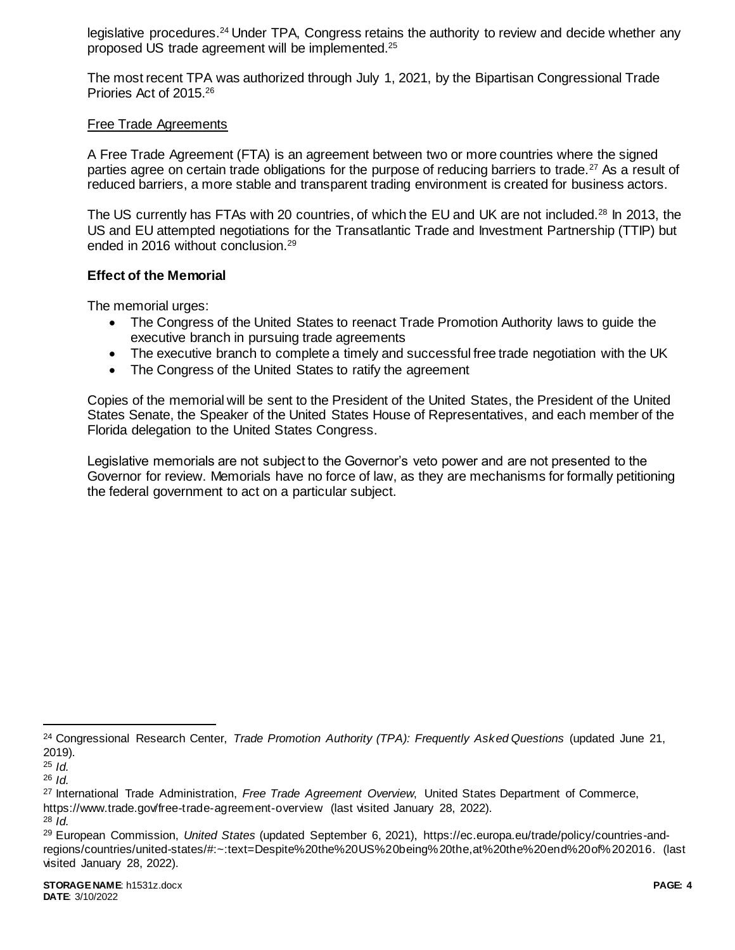legislative procedures.<sup>24</sup> Under TPA, Congress retains the authority to review and decide whether any proposed US trade agreement will be implemented.<sup>25</sup>

The most recent TPA was authorized through July 1, 2021, by the Bipartisan Congressional Trade Priories Act of 2015.<sup>26</sup>

### Free Trade Agreements

A Free Trade Agreement (FTA) is an agreement between two or more countries where the signed parties agree on certain trade obligations for the purpose of reducing barriers to trade.<sup>27</sup> As a result of reduced barriers, a more stable and transparent trading environment is created for business actors.

The US currently has FTAs with 20 countries, of which the EU and UK are not included.<sup>28</sup> In 2013, the US and EU attempted negotiations for the Transatlantic Trade and Investment Partnership (TTIP) but ended in 2016 without conclusion.<sup>29</sup>

### **Effect of the Memorial**

The memorial urges:

- The Congress of the United States to reenact Trade Promotion Authority laws to guide the executive branch in pursuing trade agreements
- The executive branch to complete a timely and successful free trade negotiation with the UK
- The Congress of the United States to ratify the agreement

Copies of the memorial will be sent to the President of the United States, the President of the United States Senate, the Speaker of the United States House of Representatives, and each member of the Florida delegation to the United States Congress.

Legislative memorials are not subject to the Governor's veto power and are not presented to the Governor for review. Memorials have no force of law, as they are mechanisms for formally petitioning the federal government to act on a particular subject.

l

<sup>24</sup> Congressional Research Center, *Trade Promotion Authority (TPA): Frequently Asked Questions* (updated June 21, 2019).

<sup>25</sup> *Id.*

<sup>26</sup> *Id.*

<sup>27</sup> International Trade Administration, *Free Trade Agreement Overview*, United States Department of Commerce, https://www.trade.gov/free-trade-agreement-overview (last visited January 28, 2022).

<sup>28</sup> *Id.*

<sup>29</sup> European Commission, *United States* (updated September 6, 2021), https://ec.europa.eu/trade/policy/countries-andregions/countries/united-states/#:~:text=Despite%20the%20US%20being%20the,at%20the%20end%20of%202016. (last visited January 28, 2022).